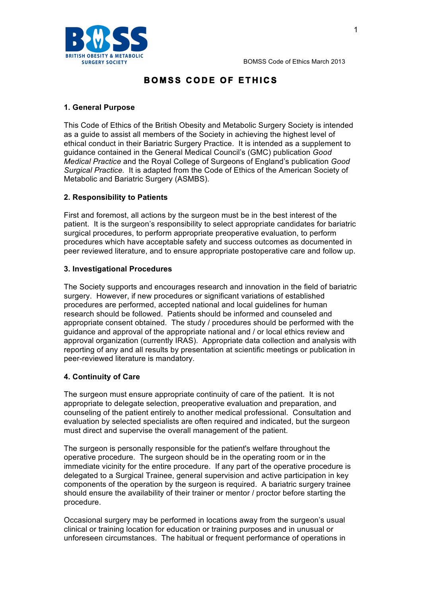

# **BOMSS CODE OF ETHICS**

### **1. General Purpose**

This Code of Ethics of the British Obesity and Metabolic Surgery Society is intended as a guide to assist all members of the Society in achieving the highest level of ethical conduct in their Bariatric Surgery Practice. It is intended as a supplement to guidance contained in the General Medical Council's (GMC) publication *Good Medical Practice* and the Royal College of Surgeons of England's publication *Good Surgical Practice.* It is adapted from the Code of Ethics of the American Society of Metabolic and Bariatric Surgery (ASMBS).

## **2. Responsibility to Patients**

First and foremost, all actions by the surgeon must be in the best interest of the patient. It is the surgeon's responsibility to select appropriate candidates for bariatric surgical procedures, to perform appropriate preoperative evaluation, to perform procedures which have acceptable safety and success outcomes as documented in peer reviewed literature, and to ensure appropriate postoperative care and follow up.

### **3. Investigational Procedures**

The Society supports and encourages research and innovation in the field of bariatric surgery. However, if new procedures or significant variations of established procedures are performed, accepted national and local guidelines for human research should be followed. Patients should be informed and counseled and appropriate consent obtained. The study / procedures should be performed with the guidance and approval of the appropriate national and / or local ethics review and approval organization (currently IRAS). Appropriate data collection and analysis with reporting of any and all results by presentation at scientific meetings or publication in peer-reviewed literature is mandatory.

### **4. Continuity of Care**

The surgeon must ensure appropriate continuity of care of the patient. It is not appropriate to delegate selection, preoperative evaluation and preparation, and counseling of the patient entirely to another medical professional. Consultation and evaluation by selected specialists are often required and indicated, but the surgeon must direct and supervise the overall management of the patient.

The surgeon is personally responsible for the patient's welfare throughout the operative procedure. The surgeon should be in the operating room or in the immediate vicinity for the entire procedure. If any part of the operative procedure is delegated to a Surgical Trainee, general supervision and active participation in key components of the operation by the surgeon is required. A bariatric surgery trainee should ensure the availability of their trainer or mentor / proctor before starting the procedure.

Occasional surgery may be performed in locations away from the surgeon's usual clinical or training location for education or training purposes and in unusual or unforeseen circumstances. The habitual or frequent performance of operations in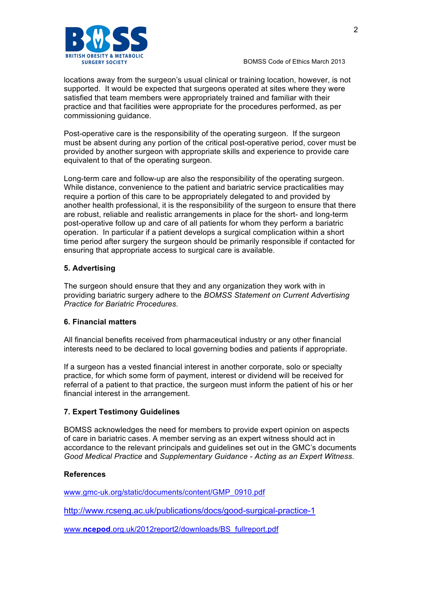

BOMSS Code of Ethics March 2013

locations away from the surgeon's usual clinical or training location, however, is not supported. It would be expected that surgeons operated at sites where they were satisfied that team members were appropriately trained and familiar with their practice and that facilities were appropriate for the procedures performed, as per commissioning guidance.

Post-operative care is the responsibility of the operating surgeon. If the surgeon must be absent during any portion of the critical post-operative period, cover must be provided by another surgeon with appropriate skills and experience to provide care equivalent to that of the operating surgeon.

Long-term care and follow-up are also the responsibility of the operating surgeon. While distance, convenience to the patient and bariatric service practicalities may require a portion of this care to be appropriately delegated to and provided by another health professional, it is the responsibility of the surgeon to ensure that there are robust, reliable and realistic arrangements in place for the short- and long-term post-operative follow up and care of all patients for whom they perform a bariatric operation. In particular if a patient develops a surgical complication within a short time period after surgery the surgeon should be primarily responsible if contacted for ensuring that appropriate access to surgical care is available.

#### **5. Advertising**

The surgeon should ensure that they and any organization they work with in providing bariatric surgery adhere to the *BOMSS Statement on Current Advertising Practice for Bariatric Procedures*.

#### **6. Financial matters**

All financial benefits received from pharmaceutical industry or any other financial interests need to be declared to local governing bodies and patients if appropriate.

If a surgeon has a vested financial interest in another corporate, solo or specialty practice, for which some form of payment, interest or dividend will be received for referral of a patient to that practice, the surgeon must inform the patient of his or her financial interest in the arrangement.

#### **7. Expert Testimony Guidelines**

BOMSS acknowledges the need for members to provide expert opinion on aspects of care in bariatric cases. A member serving as an expert witness should act in accordance to the relevant principals and guidelines set out in the GMC's documents *Good Medical Practice* and *Supplementary Guidance - Acting as an Expert Witness*.

#### **References**

www.gmc-uk.org/static/documents/content/GMP\_0910.pdf

http://www.rcseng.ac.uk/publications/docs/good-surgical-practice-1

www.**ncepod**.org.uk/2012report2/downloads/BS\_fullreport.pdf